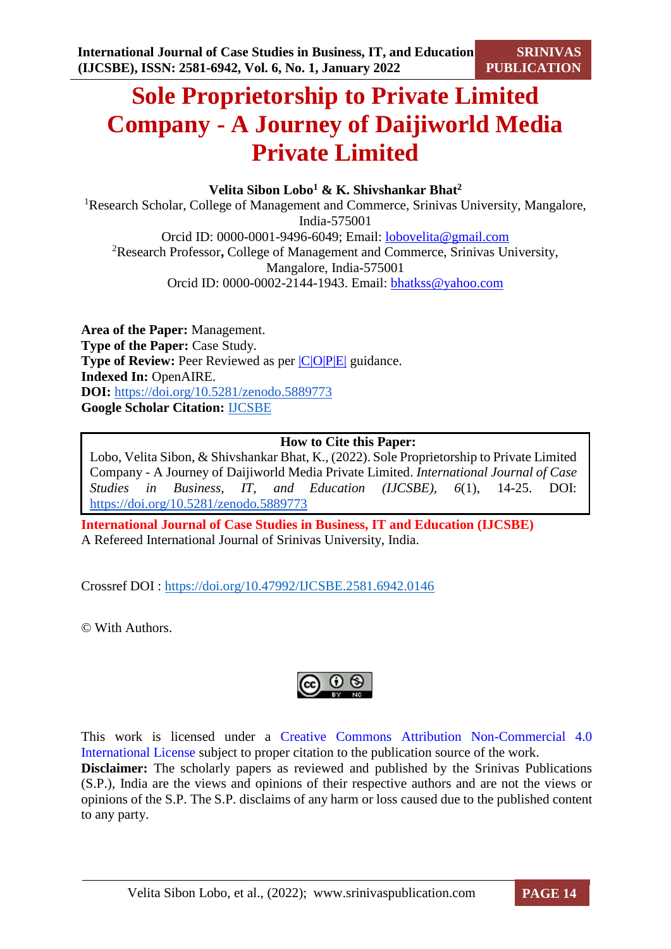# **Sole Proprietorship to Private Limited Company - A Journey of Daijiworld Media Private Limited**

**Velita Sibon Lobo<sup>1</sup> & K. Shivshankar Bhat<sup>2</sup>**

<sup>1</sup>Research Scholar, College of Management and Commerce, Srinivas University, Mangalore, India-575001 Orcid ID: 0000-0001-9496-6049; Email: [lobovelita@gmail.com](mailto:lobovelita@gmail.com) <sup>2</sup>Research Professor**,** College of Management and Commerce, Srinivas University, Mangalore, India-575001 Orcid ID: 0000-0002-2144-1943. Email: [bhatkss@yahoo.com](mailto:bhatkss@yahoo.com)

**Area of the Paper:** Management. **Type of the Paper:** Case Study. **Type of Review:** Peer Reviewed as per  $|C|O||P|E|$  guidance. **Indexed In:** OpenAIRE. **DOI:** <https://doi.org/10.5281/zenodo.5889773> **Google Scholar Citation:** [IJCSBE](https://scholar.google.com/citations?user=yGYPA1MAAAAJ)

**How to Cite this Paper:**

Lobo, Velita Sibon, & Shivshankar Bhat, K., (2022). Sole Proprietorship to Private Limited Company - A Journey of Daijiworld Media Private Limited. *International Journal of Case Studies in Business, IT, and Education (IJCSBE), 6*(1), 14-25. DOI: <https://doi.org/10.5281/zenodo.5889773>

**International Journal of Case Studies in Business, IT and Education (IJCSBE)** A Refereed International Journal of Srinivas University, India.

Crossref DOI : [https://doi.org/10.47992/IJCSBE.2581.6942.0146](https://search.crossref.org/?q=10.47992%2FIJCSBE.2581.6942.0146&from_ui=yes)

© With Authors.

$$
\bigcirc \limits_{\mathbb{R}^n} \mathbb{Q} \bigcirc \limits_{\mathbb{R}^n}
$$

This work is licensed under a Creative Commons Attribution Non-Commercial 4.0 International License subject to proper citation to the publication source of the work. **Disclaimer:** The scholarly papers as reviewed and published by the Srinivas Publications (S.P.), India are the views and opinions of their respective authors and are not the views or opinions of the S.P. The S.P. disclaims of any harm or loss caused due to the published content to any party.

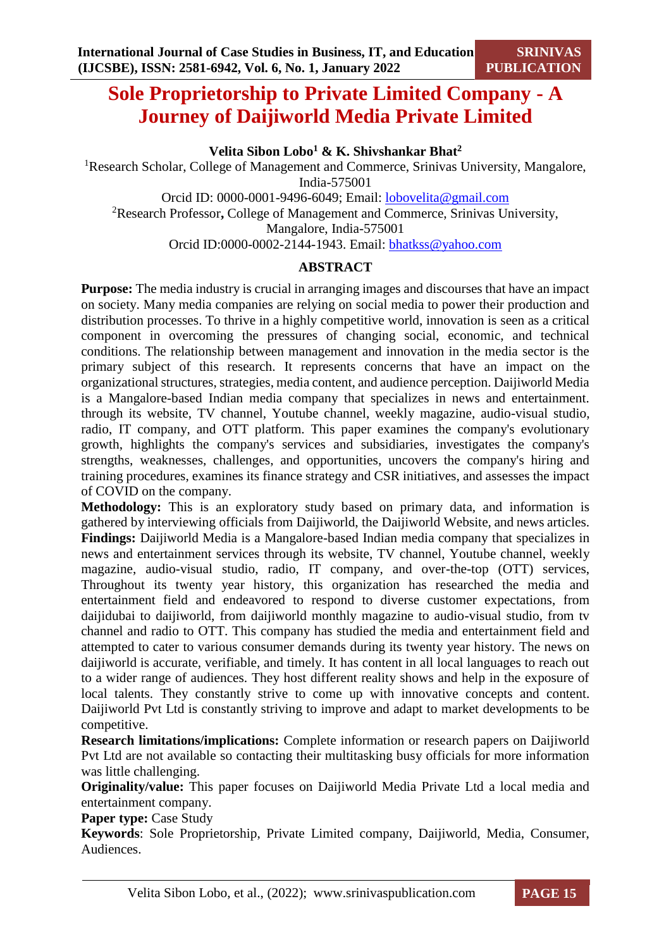## **Sole Proprietorship to Private Limited Company - A Journey of Daijiworld Media Private Limited**

**Velita Sibon Lobo<sup>1</sup> & K. Shivshankar Bhat<sup>2</sup>**

<sup>1</sup>Research Scholar, College of Management and Commerce, Srinivas University, Mangalore, India-575001 Orcid ID: 0000-0001-9496-6049; Email: [lobovelita@gmail.com](mailto:lobovelita@gmail.com)

<sup>2</sup>Research Professor**,** College of Management and Commerce, Srinivas University, Mangalore, India-575001

Orcid ID:0000-0002-2144-1943. Email: [bhatkss@yahoo.com](mailto:bhatkss@yahoo.com)

### **ABSTRACT**

**Purpose:** The media industry is crucial in arranging images and discourses that have an impact on society. Many media companies are relying on social media to power their production and distribution processes. To thrive in a highly competitive world, innovation is seen as a critical component in overcoming the pressures of changing social, economic, and technical conditions. The relationship between management and innovation in the media sector is the primary subject of this research. It represents concerns that have an impact on the organizational structures, strategies, media content, and audience perception. Daijiworld Media is a Mangalore-based Indian media company that specializes in news and entertainment. through its website, TV channel, Youtube channel, weekly magazine, audio-visual studio, radio, IT company, and OTT platform. This paper examines the company's evolutionary growth, highlights the company's services and subsidiaries, investigates the company's strengths, weaknesses, challenges, and opportunities, uncovers the company's hiring and training procedures, examines its finance strategy and CSR initiatives, and assesses the impact of COVID on the company.

**Methodology:** This is an exploratory study based on primary data, and information is gathered by interviewing officials from Daijiworld, the Daijiworld Website, and news articles. **Findings:** Daijiworld Media is a Mangalore-based Indian media company that specializes in news and entertainment services through its website, TV channel, Youtube channel, weekly magazine, audio-visual studio, radio, IT company, and over-the-top (OTT) services, Throughout its twenty year history, this organization has researched the media and entertainment field and endeavored to respond to diverse customer expectations, from daijidubai to daijiworld, from daijiworld monthly magazine to audio-visual studio, from tv channel and radio to OTT. This company has studied the media and entertainment field and attempted to cater to various consumer demands during its twenty year history. The news on daijiworld is accurate, verifiable, and timely. It has content in all local languages to reach out to a wider range of audiences. They host different reality shows and help in the exposure of local talents. They constantly strive to come up with innovative concepts and content. Daijiworld Pvt Ltd is constantly striving to improve and adapt to market developments to be competitive.

**Research limitations/implications:** Complete information or research papers on Daijiworld Pvt Ltd are not available so contacting their multitasking busy officials for more information was little challenging.

**Originality/value:** This paper focuses on Daijiworld Media Private Ltd a local media and entertainment company.

**Paper type: Case Study** 

**Keywords**: Sole Proprietorship, Private Limited company, Daijiworld, Media, Consumer, Audiences.

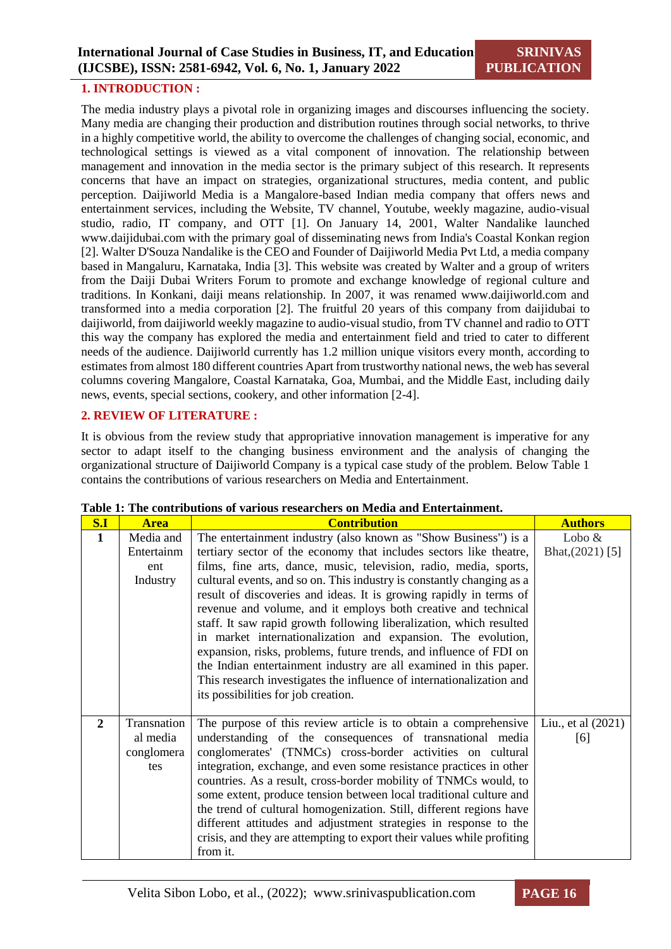#### **1. INTRODUCTION :**

The media industry plays a pivotal role in organizing images and discourses influencing the society. Many media are changing their production and distribution routines through social networks, to thrive in a highly competitive world, the ability to overcome the challenges of changing social, economic, and technological settings is viewed as a vital component of innovation. The relationship between management and innovation in the media sector is the primary subject of this research. It represents concerns that have an impact on strategies, organizational structures, media content, and public perception. Daijiworld Media is a Mangalore-based Indian media company that offers news and entertainment services, including the Website, TV channel, Youtube, weekly magazine, audio-visual studio, radio, IT company, and OTT [1]. On January 14, 2001, Walter Nandalike launched www.daijidubai.com with the primary goal of disseminating news from India's Coastal Konkan region [2]. Walter D'Souza Nandalike is the CEO and Founder of Daijiworld Media Pvt Ltd, a media company based in Mangaluru, Karnataka, India [3]. This website was created by Walter and a group of writers from the Daiji Dubai Writers Forum to promote and exchange knowledge of regional culture and traditions. In Konkani, daiji means relationship. In 2007, it was renamed www.daijiworld.com and transformed into a media corporation [2]. The fruitful 20 years of this company from daijidubai to daijiworld, from daijiworld weekly magazine to audio-visual studio, from TV channel and radio to OTT this way the company has explored the media and entertainment field and tried to cater to different needs of the audience. Daijiworld currently has 1.2 million unique visitors every month, according to estimates from almost 180 different countries Apart from trustworthy national news, the web has several columns covering Mangalore, Coastal Karnataka, Goa, Mumbai, and the Middle East, including daily news, events, special sections, cookery, and other information [2-4].

#### **2. REVIEW OF LITERATURE :**

It is obvious from the review study that appropriative innovation management is imperative for any sector to adapt itself to the changing business environment and the analysis of changing the organizational structure of Daijiworld Company is a typical case study of the problem. Below Table 1 contains the contributions of various researchers on Media and Entertainment.

| S.I          | <b>Area</b> | <b>Contribution</b>                                                    | <b>Authors</b>     |
|--------------|-------------|------------------------------------------------------------------------|--------------------|
| $\mathbf{1}$ | Media and   | The entertainment industry (also known as "Show Business") is a        | Lobo $&$           |
|              | Entertainm  | tertiary sector of the economy that includes sectors like theatre,     | Bhat, (2021) [5]   |
|              | ent         | films, fine arts, dance, music, television, radio, media, sports,      |                    |
|              | Industry    | cultural events, and so on. This industry is constantly changing as a  |                    |
|              |             | result of discoveries and ideas. It is growing rapidly in terms of     |                    |
|              |             | revenue and volume, and it employs both creative and technical         |                    |
|              |             | staff. It saw rapid growth following liberalization, which resulted    |                    |
|              |             | in market internationalization and expansion. The evolution,           |                    |
|              |             | expansion, risks, problems, future trends, and influence of FDI on     |                    |
|              |             | the Indian entertainment industry are all examined in this paper.      |                    |
|              |             | This research investigates the influence of internationalization and   |                    |
|              |             | its possibilities for job creation.                                    |                    |
|              |             |                                                                        |                    |
| $\mathbf{2}$ | Transnation | The purpose of this review article is to obtain a comprehensive        | Liu., et al (2021) |
|              | al media    | understanding of the consequences of transnational media               | [6]                |
|              | conglomera  | conglomerates' (TNMCs) cross-border activities on cultural             |                    |
|              | tes         | integration, exchange, and even some resistance practices in other     |                    |
|              |             | countries. As a result, cross-border mobility of TNMCs would, to       |                    |
|              |             | some extent, produce tension between local traditional culture and     |                    |
|              |             | the trend of cultural homogenization. Still, different regions have    |                    |
|              |             | different attitudes and adjustment strategies in response to the       |                    |
|              |             | crisis, and they are attempting to export their values while profiting |                    |
|              |             | from it.                                                               |                    |

| Table 1: The contributions of various researchers on Media and Entertainment. |  |  |  |
|-------------------------------------------------------------------------------|--|--|--|
|-------------------------------------------------------------------------------|--|--|--|

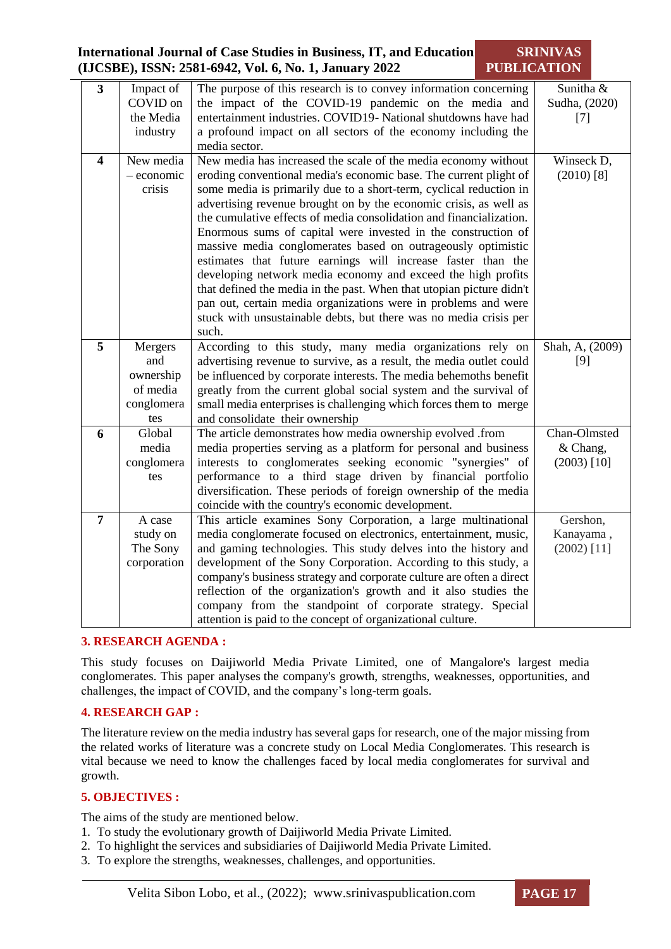#### **International Journal of Case Studies in Business, IT, and Education (IJCSBE), ISSN: 2581-6942, Vol. 6, No. 1, January 2022 SRINIVAS PUBLICATION**

| $\overline{\mathbf{3}}$ | Impact of    | The purpose of this research is to convey information concerning                                                             | Sunitha &       |
|-------------------------|--------------|------------------------------------------------------------------------------------------------------------------------------|-----------------|
|                         | COVID on     | the impact of the COVID-19 pandemic on the media and                                                                         | Sudha, (2020)   |
|                         | the Media    | entertainment industries. COVID19- National shutdowns have had                                                               | $[7]$           |
|                         | industry     | a profound impact on all sectors of the economy including the                                                                |                 |
|                         |              | media sector.                                                                                                                |                 |
| 4                       | New media    | New media has increased the scale of the media economy without                                                               | Winseck D,      |
|                         | $-$ economic | eroding conventional media's economic base. The current plight of                                                            | $(2010)$ [8]    |
|                         | crisis       | some media is primarily due to a short-term, cyclical reduction in                                                           |                 |
|                         |              | advertising revenue brought on by the economic crisis, as well as                                                            |                 |
|                         |              | the cumulative effects of media consolidation and financialization.                                                          |                 |
|                         |              | Enormous sums of capital were invested in the construction of                                                                |                 |
|                         |              | massive media conglomerates based on outrageously optimistic                                                                 |                 |
|                         |              | estimates that future earnings will increase faster than the<br>developing network media economy and exceed the high profits |                 |
|                         |              | that defined the media in the past. When that utopian picture didn't                                                         |                 |
|                         |              | pan out, certain media organizations were in problems and were                                                               |                 |
|                         |              | stuck with unsustainable debts, but there was no media crisis per                                                            |                 |
|                         |              | such.                                                                                                                        |                 |
| 5                       | Mergers      | According to this study, many media organizations rely on                                                                    | Shah, A, (2009) |
|                         | and          | advertising revenue to survive, as a result, the media outlet could                                                          | [9]             |
|                         | ownership    | be influenced by corporate interests. The media behemoths benefit                                                            |                 |
|                         | of media     | greatly from the current global social system and the survival of                                                            |                 |
|                         | conglomera   | small media enterprises is challenging which forces them to merge                                                            |                 |
|                         | tes          | and consolidate their ownership                                                                                              |                 |
| 6                       | Global       | The article demonstrates how media ownership evolved .from                                                                   | Chan-Olmsted    |
|                         | media        | media properties serving as a platform for personal and business                                                             | & Chang,        |
|                         | conglomera   | interests to conglomerates seeking economic "synergies" of                                                                   | $(2003)$ [10]   |
|                         | tes          | performance to a third stage driven by financial portfolio                                                                   |                 |
|                         |              | diversification. These periods of foreign ownership of the media                                                             |                 |
| $\overline{7}$          | A case       | coincide with the country's economic development.<br>This article examines Sony Corporation, a large multinational           | Gershon,        |
|                         | study on     | media conglomerate focused on electronics, entertainment, music,                                                             | Kanayama,       |
|                         | The Sony     | and gaming technologies. This study delves into the history and                                                              | $(2002)$ [11]   |
|                         | corporation  | development of the Sony Corporation. According to this study, a                                                              |                 |
|                         |              | company's business strategy and corporate culture are often a direct                                                         |                 |
|                         |              | reflection of the organization's growth and it also studies the                                                              |                 |
|                         |              | company from the standpoint of corporate strategy. Special                                                                   |                 |
|                         |              | attention is paid to the concept of organizational culture.                                                                  |                 |

#### **3. RESEARCH AGENDA :**

This study focuses on Daijiworld Media Private Limited, one of Mangalore's largest media conglomerates. This paper analyses the company's growth, strengths, weaknesses, opportunities, and challenges, the impact of COVID, and the company's long-term goals.

#### **4. RESEARCH GAP :**

The literature review on the media industry has several gaps for research, one of the major missing from the related works of literature was a concrete study on Local Media Conglomerates. This research is vital because we need to know the challenges faced by local media conglomerates for survival and growth.

#### **5. OBJECTIVES :**

The aims of the study are mentioned below.

- 1. To study the evolutionary growth of Daijiworld Media Private Limited.
- 2. To highlight the services and subsidiaries of Daijiworld Media Private Limited.
- 3. To explore the strengths, weaknesses, challenges, and opportunities.

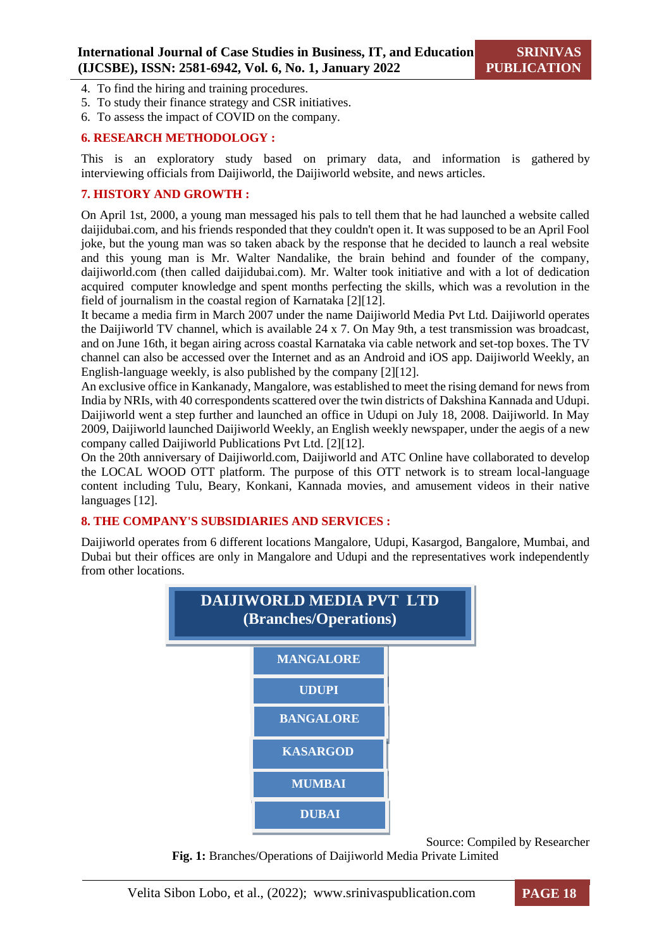- 4. To find the hiring and training procedures.
- 5. To study their finance strategy and CSR initiatives.
- 6. To assess the impact of COVID on the company.

#### **6. RESEARCH METHODOLOGY :**

This is an exploratory study based on primary data, and information is gathered by interviewing officials from Daijiworld, the Daijiworld website, and news articles.

#### **7. HISTORY AND GROWTH :**

On April 1st, 2000, a young man messaged his pals to tell them that he had launched a website called daijidubai.com, and his friends responded that they couldn't open it. It was supposed to be an April Fool joke, but the young man was so taken aback by the response that he decided to launch a real website and this young man is Mr. Walter Nandalike, the brain behind and founder of the company, daijiworld.com (then called daijidubai.com). Mr. Walter took initiative and with a lot of dedication acquired computer knowledge and spent months perfecting the skills, which was a revolution in the field of journalism in the coastal region of Karnataka [2][12].

It became a media firm in March 2007 under the name Daijiworld Media Pvt Ltd. Daijiworld operates the Daijiworld TV channel, which is available 24 x 7. On May 9th, a test transmission was broadcast, and on June 16th, it began airing across coastal Karnataka via cable network and set-top boxes. The TV channel can also be accessed over the Internet and as an Android and iOS app. Daijiworld Weekly, an English-language weekly, is also published by the company [2][12].

An exclusive office in Kankanady, Mangalore, was established to meet the rising demand for news from India by NRIs, with 40 correspondents scattered over the twin districts of Dakshina Kannada and Udupi. Daijiworld went a step further and launched an office in Udupi on July 18, 2008. Daijiworld. In May 2009, Daijiworld launched Daijiworld Weekly, an English weekly newspaper, under the aegis of a new company called Daijiworld Publications Pvt Ltd. [2][12].

On the 20th anniversary of Daijiworld.com, Daijiworld and ATC Online have collaborated to develop the LOCAL WOOD OTT platform. The purpose of this OTT network is to stream local-language content including Tulu, Beary, Konkani, Kannada movies, and amusement videos in their native languages [12].

#### **8. THE COMPANY'S SUBSIDIARIES AND SERVICES :**

Daijiworld operates from 6 different locations Mangalore, Udupi, Kasargod, Bangalore, Mumbai, and Dubai but their offices are only in Mangalore and Udupi and the representatives work independently from other locations.



Source: Compiled by Researcher

**Fig. 1:** Branches/Operations of Daijiworld Media Private Limited

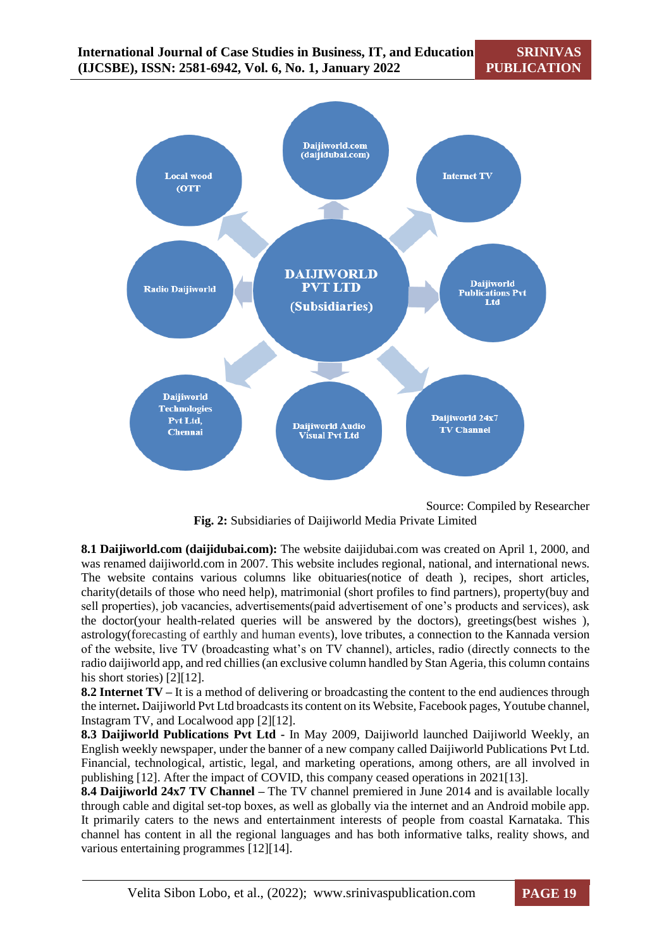

Source: Compiled by Researcher **Fig. 2:** Subsidiaries of Daijiworld Media Private Limited

**8.1 Daijiworld.com (daijidubai.com):** The website daijidubai.com was created on April 1, 2000, and was renamed daijiworld.com in 2007. This website includes regional, national, and international news. The website contains various columns like obituaries(notice of death ), recipes, short articles, charity(details of those who need help), matrimonial (short profiles to find partners), property(buy and sell properties), job vacancies, advertisements(paid advertisement of one's products and services), ask the doctor(your health-related queries will be answered by the doctors), greetings(best wishes ), astrology(forecasting of earthly and human events), love tributes, a connection to the Kannada version of the website, live TV (broadcasting what's on TV channel), articles, radio (directly connects to the radio daijiworld app, and red chillies (an exclusive column handled by Stan Ageria, this column contains his short stories) [2][12].

**8.2 Internet TV –** It is a method of delivering or broadcasting the content to the end audiences through the internet**.** Daijiworld Pvt Ltd broadcasts its content on its Website, Facebook pages, Youtube channel, Instagram TV, and Localwood app [2][12].

**8.3 Daijiworld Publications Pvt Ltd -** In May 2009, Daijiworld launched Daijiworld Weekly, an English weekly newspaper, under the banner of a new company called Daijiworld Publications Pvt Ltd. Financial, technological, artistic, legal, and marketing operations, among others, are all involved in publishing [12]. After the impact of COVID, this company ceased operations in 2021[13].

**8.4 Daijiworld 24x7 TV Channel –** The TV channel premiered in June 2014 and is available locally through cable and digital set-top boxes, as well as globally via the internet and an Android mobile app. It primarily caters to the news and entertainment interests of people from coastal Karnataka. This channel has content in all the regional languages and has both informative talks, reality shows, and various entertaining programmes [12][14].

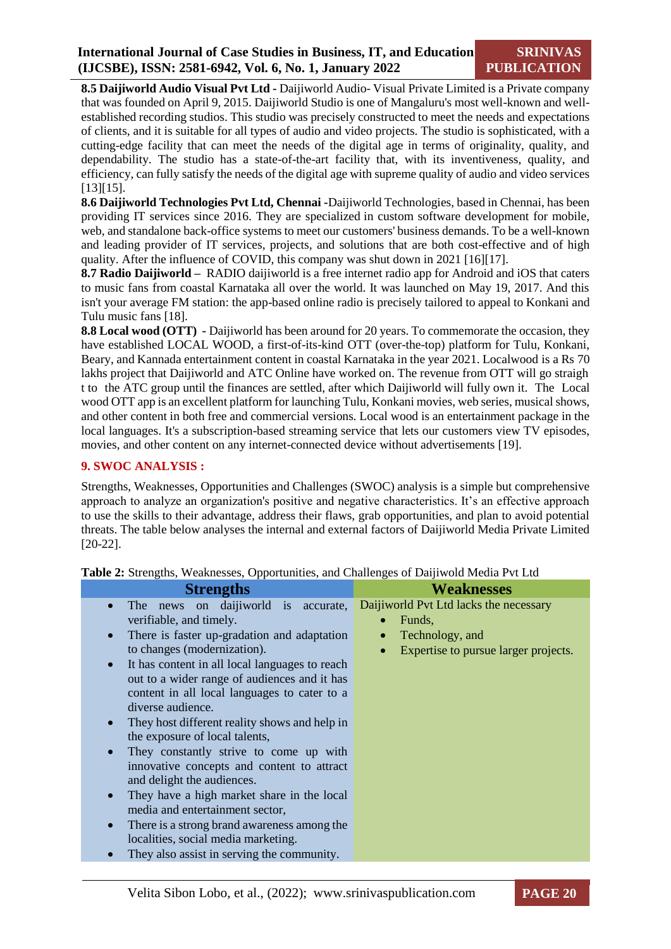**8.5 Daijiworld Audio Visual Pvt Ltd -** Daijiworld Audio- Visual Private Limited is a Private company that was founded on April 9, 2015. Daijiworld Studio is one of Mangaluru's most well-known and wellestablished recording studios. This studio was precisely constructed to meet the needs and expectations of clients, and it is suitable for all types of audio and video projects. The studio is sophisticated, with a cutting-edge facility that can meet the needs of the digital age in terms of originality, quality, and dependability. The studio has a state-of-the-art facility that, with its inventiveness, quality, and efficiency, can fully satisfy the needs of the digital age with supreme quality of audio and video services [13][15].

**8.6 Daijiworld Technologies Pvt Ltd, Chennai -**Daijiworld Technologies, based in Chennai, has been providing IT services since 2016. They are specialized in custom software development for mobile, web, and standalone back-office systems to meet our customers' business demands. To be a well-known and leading provider of IT services, projects, and solutions that are both cost-effective and of high quality. After the influence of COVID, this company was shut down in 2021 [16][17].

**8.7 Radio Daijiworld –** RADIO daijiworld is a free internet radio app for Android and iOS that caters to music fans from coastal Karnataka all over the world. It was launched on May 19, 2017. And this isn't your average FM station: the app-based online radio is precisely tailored to appeal to Konkani and Tulu music fans [18].

**8.8 Local wood (OTT) -** Daijiworld has been around for 20 years. To commemorate the occasion, they have established LOCAL WOOD, a first-of-its-kind OTT (over-the-top) platform for Tulu, Konkani, Beary, and Kannada entertainment content in coastal Karnataka in the year 2021. Localwood is a Rs 70 lakhs project that Daijiworld and ATC Online have worked on. The revenue from OTT will go straigh t to the ATC group until the finances are settled, after which Daijiworld will fully own it. The Local wood OTT app is an excellent platform for launching Tulu, Konkani movies, web series, musical shows, and other content in both free and commercial versions. Local wood is an entertainment package in the local languages. It's a subscription-based streaming service that lets our customers view TV episodes, movies, and other content on any internet-connected device without advertisements [19].

#### **9. SWOC ANALYSIS :**

Strengths, Weaknesses, Opportunities and Challenges (SWOC) analysis is a simple but comprehensive approach to analyze an organization's positive and negative characteristics. It's an effective approach to use the skills to their advantage, address their flaws, grab opportunities, and plan to avoid potential threats. The table below analyses the internal and external factors of Daijiworld Media Private Limited [20-22].

| <b>Strengths</b>                                            | <b>Weaknesses</b>                                 |
|-------------------------------------------------------------|---------------------------------------------------|
| The news on daijiworld is accurate,<br>$\bullet$            | Daijiworld Pvt Ltd lacks the necessary            |
| verifiable, and timely.                                     | Funds,<br>$\bullet$                               |
| There is faster up-gradation and adaptation<br>$\bullet$    | Technology, and<br>$\bullet$                      |
| to changes (modernization).                                 | Expertise to pursue larger projects.<br>$\bullet$ |
| It has content in all local languages to reach<br>$\bullet$ |                                                   |
| out to a wider range of audiences and it has                |                                                   |
| content in all local languages to cater to a                |                                                   |
| diverse audience.                                           |                                                   |
| They host different reality shows and help in<br>$\bullet$  |                                                   |
| the exposure of local talents,                              |                                                   |
| They constantly strive to come up with<br>$\bullet$         |                                                   |
| innovative concepts and content to attract                  |                                                   |
| and delight the audiences.                                  |                                                   |
| They have a high market share in the local<br>$\bullet$     |                                                   |
| media and entertainment sector,                             |                                                   |
| There is a strong brand awareness among the<br>$\bullet$    |                                                   |
| localities, social media marketing.                         |                                                   |
| They also assist in serving the community.                  |                                                   |
|                                                             |                                                   |

**Table 2:** Strengths, Weaknesses, Opportunities, and Challenges of Daijiwold Media Pvt Ltd

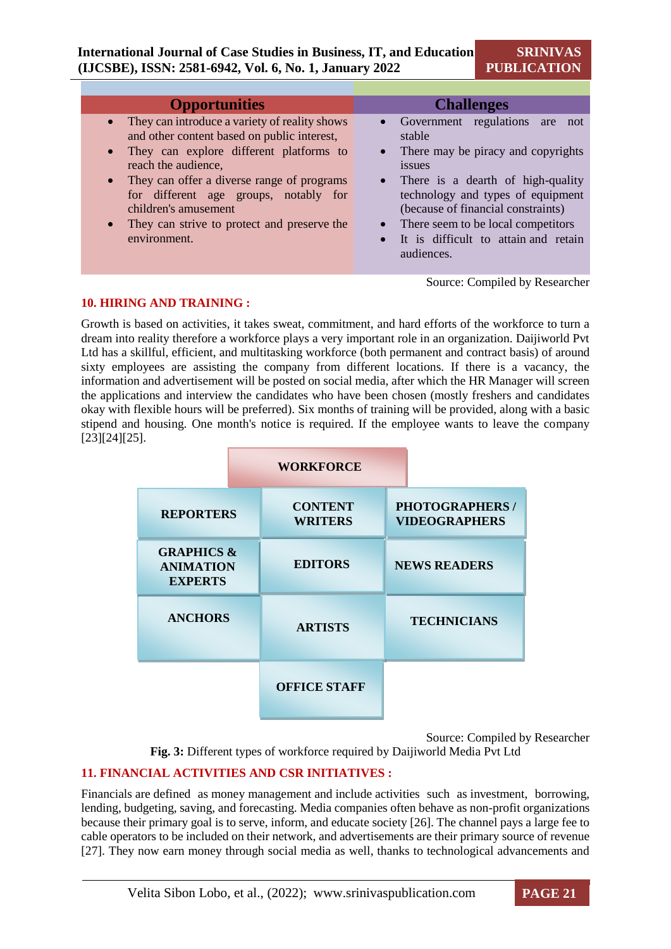| <b>Opportunities</b>                                                                                                                                                                                                                                                                                                                                                       | <b>Challenges</b>                                                                                                                                                                                                                                                                                                                                |
|----------------------------------------------------------------------------------------------------------------------------------------------------------------------------------------------------------------------------------------------------------------------------------------------------------------------------------------------------------------------------|--------------------------------------------------------------------------------------------------------------------------------------------------------------------------------------------------------------------------------------------------------------------------------------------------------------------------------------------------|
| • They can introduce a variety of reality shows<br>and other content based on public interest,<br>They can explore different platforms to<br>$\bullet$<br>reach the audience,<br>• They can offer a diverse range of programs<br>for different age groups, notably for<br>children's amusement<br>They can strive to protect and preserve the<br>$\bullet$<br>environment. | Government regulations are<br>not<br>stable<br>There may be piracy and copyrights<br>$\bullet$<br>issues<br>• There is a dearth of high-quality<br>technology and types of equipment<br>(because of financial constraints)<br>There seem to be local competitors<br>$\bullet$<br>It is difficult to attain and retain<br>$\bullet$<br>audiences. |

Source: Compiled by Researcher

#### **10. HIRING AND TRAINING :**

Growth is based on activities, it takes sweat, commitment, and hard efforts of the workforce to turn a dream into reality therefore a workforce plays a very important role in an organization. Daijiworld Pvt Ltd has a skillful, efficient, and multitasking workforce (both permanent and contract basis) of around sixty employees are assisting the company from different locations. If there is a vacancy, the information and advertisement will be posted on social media, after which the HR Manager will screen the applications and interview the candidates who have been chosen (mostly freshers and candidates okay with flexible hours will be preferred). Six months of training will be provided, along with a basic stipend and housing. One month's notice is required. If the employee wants to leave the company [23][24][25].

|                                                             | <b>WORKFORCE</b>                 |                                                |
|-------------------------------------------------------------|----------------------------------|------------------------------------------------|
| <b>REPORTERS</b>                                            | <b>CONTENT</b><br><b>WRITERS</b> | <b>PHOTOGRAPHERS /</b><br><b>VIDEOGRAPHERS</b> |
| <b>GRAPHICS &amp;</b><br><b>ANIMATION</b><br><b>EXPERTS</b> | <b>EDITORS</b>                   | <b>NEWS READERS</b>                            |
| <b>ANCHORS</b>                                              | <b>ARTISTS</b>                   | <b>TECHNICIANS</b>                             |
|                                                             | <b>OFFICE STAFF</b>              |                                                |

Source: Compiled by Researcher

**Fig. 3:** Different types of workforce required by Daijiworld Media Pvt Ltd

#### **11. FINANCIAL ACTIVITIES AND CSR INITIATIVES :**

Financials are defined as money management and include activities such as investment, borrowing, lending, budgeting, saving, and forecasting. Media companies often behave as non-profit organizations because their primary goal is to serve, inform, and educate society [26]. The channel pays a large fee to cable operators to be included on their network, and advertisements are their primary source of revenue [27]. They now earn money through social media as well, thanks to technological advancements and

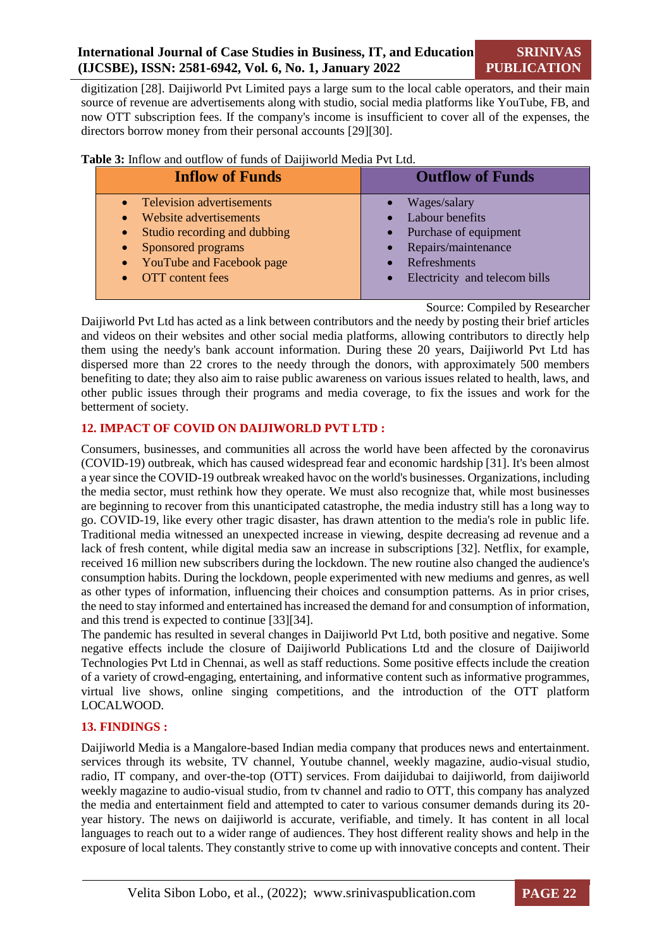digitization [28]. Daijiworld Pvt Limited pays a large sum to the local cable operators, and their main source of revenue are advertisements along with studio, social media platforms like YouTube, FB, and now OTT subscription fees. If the company's income is insufficient to cover all of the expenses, the directors borrow money from their personal accounts [29][30].

| <b>Inflow of Funds</b>                                                                                                                                                                                                                                 | <b>Outflow of Funds</b>                                                                                                                                          |
|--------------------------------------------------------------------------------------------------------------------------------------------------------------------------------------------------------------------------------------------------------|------------------------------------------------------------------------------------------------------------------------------------------------------------------|
| <b>Television advertisements</b><br>$\bullet$<br>Website advertisements<br>$\bullet$<br>Studio recording and dubbing<br>$\bullet$<br>Sponsored programs<br>$\bullet$<br>YouTube and Facebook page<br>$\bullet$<br><b>OTT</b> content fees<br>$\bullet$ | Wages/salary<br>$\bullet$<br>• Labour benefits<br>• Purchase of equipment<br>• Repairs/maintenance<br>Refreshments<br>Electricity and telecom bills<br>$\bullet$ |
|                                                                                                                                                                                                                                                        |                                                                                                                                                                  |

**Table 3:** Inflow and outflow of funds of Daijiworld Media Pvt Ltd.

Source: Compiled by Researcher

Daijiworld Pvt Ltd has acted as a link between contributors and the needy by posting their brief articles and videos on their websites and other social media platforms, allowing contributors to directly help them using the needy's bank account information. During these 20 years, Daijiworld Pvt Ltd has dispersed more than 22 crores to the needy through the donors, with approximately 500 members benefiting to date; they also aim to raise public awareness on various issues related to health, laws, and other public issues through their programs and media coverage, to fix the issues and work for the betterment of society.

#### **12. IMPACT OF COVID ON DAIJIWORLD PVT LTD :**

Consumers, businesses, and communities all across the world have been affected by the coronavirus (COVID-19) outbreak, which has caused widespread fear and economic hardship [31]. It's been almost a year since the COVID-19 outbreak wreaked havoc on the world's businesses. Organizations, including the media sector, must rethink how they operate. We must also recognize that, while most businesses are beginning to recover from this unanticipated catastrophe, the media industry still has a long way to go. COVID-19, like every other tragic disaster, has drawn attention to the media's role in public life. Traditional media witnessed an unexpected increase in viewing, despite decreasing ad revenue and a lack of fresh content, while digital media saw an increase in subscriptions [32]. Netflix, for example, received 16 million new subscribers during the lockdown. The new routine also changed the audience's consumption habits. During the lockdown, people experimented with new mediums and genres, as well as other types of information, influencing their choices and consumption patterns. As in prior crises, the need to stay informed and entertained has increased the demand for and consumption of information, and this trend is expected to continue [33][34].

The pandemic has resulted in several changes in Daijiworld Pvt Ltd, both positive and negative. Some negative effects include the closure of Daijiworld Publications Ltd and the closure of Daijiworld Technologies Pvt Ltd in Chennai, as well as staff reductions. Some positive effects include the creation of a variety of crowd-engaging, entertaining, and informative content such as informative programmes, virtual live shows, online singing competitions, and the introduction of the OTT platform LOCALWOOD.

#### **13. FINDINGS :**

Daijiworld Media is a Mangalore-based Indian media company that produces news and entertainment. services through its website, TV channel, Youtube channel, weekly magazine, audio-visual studio, radio, IT company, and over-the-top (OTT) services. From daijidubai to daijiworld, from daijiworld weekly magazine to audio-visual studio, from tv channel and radio to OTT, this company has analyzed the media and entertainment field and attempted to cater to various consumer demands during its 20 year history. The news on daijiworld is accurate, verifiable, and timely. It has content in all local languages to reach out to a wider range of audiences. They host different reality shows and help in the exposure of local talents. They constantly strive to come up with innovative concepts and content. Their

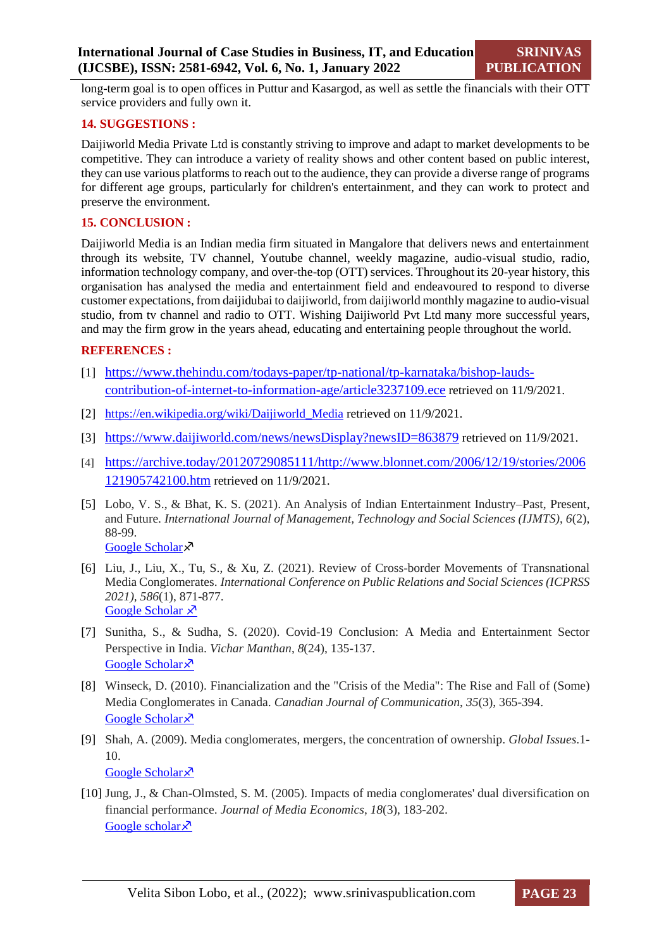long-term goal is to open offices in Puttur and Kasargod, as well as settle the financials with their OTT service providers and fully own it.

#### **14. SUGGESTIONS :**

Daijiworld Media Private Ltd is constantly striving to improve and adapt to market developments to be competitive. They can introduce a variety of reality shows and other content based on public interest, they can use various platforms to reach out to the audience, they can provide a diverse range of programs for different age groups, particularly for children's entertainment, and they can work to protect and preserve the environment.

#### **15. CONCLUSION :**

Daijiworld Media is an Indian media firm situated in Mangalore that delivers news and entertainment through its website, TV channel, Youtube channel, weekly magazine, audio-visual studio, radio, information technology company, and over-the-top (OTT) services. Throughout its 20-year history, this organisation has analysed the media and entertainment field and endeavoured to respond to diverse customer expectations, from daijidubai to daijiworld, from daijiworld monthly magazine to audio-visual studio, from tv channel and radio to OTT. Wishing Daijiworld Pvt Ltd many more successful years, and may the firm grow in the years ahead, educating and entertaining people throughout the world.

#### **REFERENCES :**

- [1] [https://www.thehindu.com/todays-paper/tp-national/tp-karnataka/bishop-lauds](https://www.thehindu.com/todays-paper/tp-national/tp-karnataka/bishop-lauds-contribution-of-internet-to-information-age/article3237109.ece)[contribution-of-internet-to-information-age/article3237109.ece](https://www.thehindu.com/todays-paper/tp-national/tp-karnataka/bishop-lauds-contribution-of-internet-to-information-age/article3237109.ece) retrieved on 11/9/2021.
- [2] https://en.wikipedia.org/wiki/Daijiworld Media retrieved on 11/9/2021.
- [3] <https://www.daijiworld.com/news/newsDisplay?newsID=863879> retrieved on 11/9/2021.
- [4] [https://archive.today/20120729085111/http://www.blonnet.com/2006/12/19/stories/2006](https://archive.today/20120729085111/http:/www.blonnet.com/2006/12/19/stories/2006121905742100.htm) [121905742100.htm](https://archive.today/20120729085111/http:/www.blonnet.com/2006/12/19/stories/2006121905742100.htm) retrieved on 11/9/2021.
- [5] Lobo, V. S., & Bhat, K. S. (2021). An Analysis of Indian Entertainment Industry–Past, Present, and Future. *International Journal of Management, Technology and Social Sciences (IJMTS)*, *6*(2), 88-99. [Google Scholar](https://scholar.google.com/scholar?hl=en&as_sdt=0%2C5&q=https%3A%2F%2Fsrinivaspublication.com%2Fjournal%2Findex.php%2Fijmts%2Farticle%2Fview%2F852&btnG=) ×
- [6] Liu, J., Liu, X., Tu, S., & Xu, Z. (2021). Review of Cross-border Movements of Transnational Media Conglomerates. *International Conference on Public Relations and Social Sciences (ICPRSS 2021), 586*(1), 871-877. [Google Scholar](https://scholar.google.com/scholar?hl=en&as_sdt=0%2C5&q=%5B6%5D%09Liu%2C+J.%2C+Liu%2C+X.%2C+Tu%2C+S.%2C+%26+Xu%2C+Z.+%282021%2C+October%29.+Review+of+Cross-border+Movements+of+Transnational+Media+Conglomerates.+In+2021+International+Conference+on+Public+Re)  $x^3$
- [7] Sunitha, S., & Sudha, S. (2020). Covid-19 Conclusion: A Media and Entertainment Sector Perspective in India. *Vichar Manthan*, *8*(24), 135-137. [Google Scholar](https://scholar.google.com/scholar?hl=en&as_sdt=0%2C5&q=Sunitha%2C+S.%2C+and+S.+Sudha.+%22Covid-19+Conclusion%3A+A+Media+and+Entertainment+Sector+Perspective+in+India.%22+Vichar+Manthan+8.24+%282020%29%3A+135-137.&btnG=)<sup> $\bar{x}$ </sup>
- [8] Winseck, D. (2010). Financialization and the "Crisis of the Media": The Rise and Fall of (Some) Media Conglomerates in Canada. *Canadian Journal of Communication*, *35*(3), 365-394. [Google Scholar](https://scholar.google.com/scholar?hl=en&as_sdt=0%2C5&q=%5B8%5D+Winseck%2C+D.+%282010%29.+Financialization+and+the%22+Crisis+of+the+Media%22%3A+The+Rise+and+Fall+of+%28Some%29+Media+Conglomerates+in+Canada.+Canadian+Journal+of+Communication%2C+35%283%29.&b) ×
- [9] Shah, A. (2009). Media conglomerates, mergers, the concentration of ownership. *Global Issues*.1- 10. [Google Scholar](https://scholar.google.com/scholar?hl=en&as_sdt=0%2C5&q=Shah%2C+A.+%282009%29.+Media+conglomerates%2C+mergers%2C+concentration+of+ownership.+Global+Issues.&btnG=) ×
- [10] Jung, J., & Chan-Olmsted, S. M. (2005). Impacts of media conglomerates' dual diversification on financial performance. *Journal of Media Economics*, *18*(3), 183-202. [Google scholar](https://scholar.google.com/scholar?hl=en&as_sdt=0%2C5&q=%5B10%5D%09Jung%2C+J.%2C+%26+Chan-Olmsted%2C+S.+M.+%282005%29.+Impacts+of+media+conglomerates%27+dual+diversification+on+financial+performance.+Journal+of+Media+Economics%2C+18%283%29%2C+183-202.&btnG)  $\lambda$

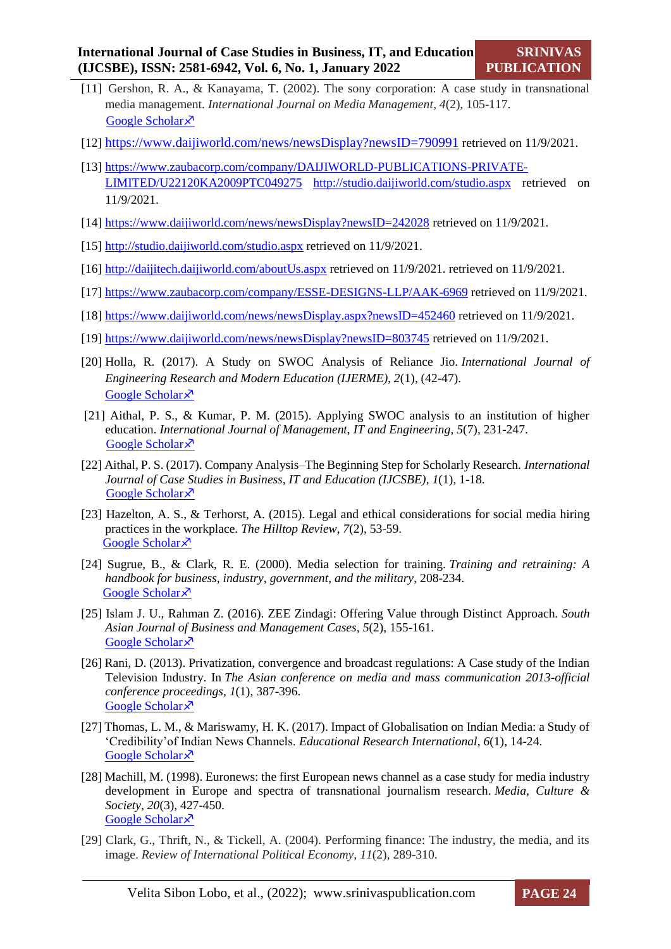- [11] Gershon, R. A., & Kanayama, T. (2002). The sony corporation: A case study in transnational media management. *International Journal on Media Management*, *4*(2), 105-117. [Google Scholar](https://scholar.google.com/scholar?hl=en&as_sdt=0%2C5&q=%5B18%5D%09Richard+A.+Gershon+%26+Tsutomu+Kanayama+%282002%29+vol+4%3A2%2C+105-117%2C++DOI%3A++10.1080%2F14241270209389987&btnG=) ×
- [12] <https://www.daijiworld.com/news/newsDisplay?newsID=790991> retrieved on 11/9/2021.
- [13] [https://www.zaubacorp.com/company/DAIJIWORLD-PUBLICATIONS-PRIVATE-](https://www.zaubacorp.com/company/DAIJIWORLD-PUBLICATIONS-PRIVATE-LIMITED/U22120KA2009PTC049275)[LIMITED/U22120KA2009PTC049275](https://www.zaubacorp.com/company/DAIJIWORLD-PUBLICATIONS-PRIVATE-LIMITED/U22120KA2009PTC049275) <http://studio.daijiworld.com/studio.aspx> retrieved on 11/9/2021.
- [14] <https://www.daijiworld.com/news/newsDisplay?newsID=242028> retrieved on 11/9/2021.
- [15] <http://studio.daijiworld.com/studio.aspx> retrieved on 11/9/2021.
- [16] <http://daijitech.daijiworld.com/aboutUs.aspx> retrieved on 11/9/2021. retrieved on 11/9/2021.
- [17] <https://www.zaubacorp.com/company/ESSE-DESIGNS-LLP/AAK-6969> retrieved on 11/9/2021.
- [18] <https://www.daijiworld.com/news/newsDisplay.aspx?newsID=452460> retrieved on 11/9/2021.
- [19] <https://www.daijiworld.com/news/newsDisplay?newsID=803745> retrieved on 11/9/2021.
- [20] Holla, R. (2017). A Study on SWOC Analysis of Reliance Jio. *International Journal of Engineering Research and Modern Education (IJERME), 2*(1), (42-47). [Google Scholar](https://scholar.google.com/scholar?hl=en&as_sdt=0%2C5&q=%5B20%5D%09Holla%2C+R.+%282017%29.+A+Study+on+SWOC+Analysis+of+Reliance+Jio.+International+Journal+of+Engineering+Research+and+Modern+Education+%28IJERME%29%2C+2%281%29%2C%2842-47%29.&btnG=)<sup> $\lambda$ </sup>
- [21] Aithal, P. S., & Kumar, P. M. (2015). Applying SWOC analysis to an institution of higher education. *International Journal of Management, IT and Engineering*, *5*(7), 231-247. [Google Scholar](https://scholar.google.com/scholar?hl=en&as_sdt=0%2C5&q=Aithal%2C+P.+S.%2C+%26+Kumar%2C+P.+M.+%282015%29.+Applying+SWOC+analysis+to+an+institution+of+higher+education.+International+Journal+of+Management%2C+IT+and+Engineering%2C+5%287%29%2C+231-247.&btnG=) ×
- [22] Aithal, P. S. (2017). Company Analysis–The Beginning Step for Scholarly Research. *International Journal of Case Studies in Business, IT and Education (IJCSBE)*, *1*(1), 1-18. [Google Scholar](https://scholar.google.com/scholar?hl=en&as_sdt=0%2C5&q=Aithal%2C+P.+S.+%282017%29.+Company+Analysis%E2%80%93The+Beginning+Step+for+Scholarly+Research.+International+Journal+of+Case+Studies+in+Business%2C+IT+and+Education+%28IJCSBE%29%2C+1%281%29%2C+1-18.&) ×
- [23] Hazelton, A. S., & Terhorst, A. (2015). Legal and ethical considerations for social media hiring practices in the workplace. *The Hilltop Review*, *7*(2), 53-59. [Google Scholar](https://scholar.google.com/scholar?hl=en&as_sdt=0%2C5&q=Hazelton%2C+A.+S.%2C+%26+Terhorst%2C+A.+%282015%29.+Legal+and+ethical+considerations+for+social+media+hiring+practices+in+the+workplace.+The+Hilltop+Review%2C+7%282%29%2C+7.&btnG=) ×
- [24] Sugrue, B., & Clark, R. E. (2000). Media selection for training. *Training and retraining: A handbook for business, industry, government, and the military*, 208-234. [Google Scholar](https://scholar.google.com/scholar?hl=en&as_sdt=0%2C5&q=Sugrue%2C+B.%2C+%26+Clark%2C+R.+E.+%282000%29.+Media+selection+for+training.+Training+and+retraining%3A+A+handbook+for+business%2C+industry%2C+government%2C+and+the+military%2C+208-234.&btnG=)<sup> $\lambda$ </sup>
- [25] Islam J. U., Rahman Z. (2016). ZEE Zindagi: Offering Value through Distinct Approach. *South Asian Journal of Business and Management Cases, 5*(2), 155-161. [Google Scholar](https://scholar.google.com/scholar?hl=en&as_sdt=0%2C5&q=%5B19%5D%09Islam+JU%2C+Rahman+Z.+ZEE+Zindagi%3A+Offering+Value+through+Distinct+Approach.+South+Asian+Journal+of+Business+and+Management+Cases.+2016%3B5%282%29%3A155-161.+doi%3A10.1177%2F2277977916665) ×
- [26] Rani, D. (2013). Privatization, convergence and broadcast regulations: A Case study of the Indian Television Industry. In *The Asian conference on media and mass communication 2013-official conference proceedings, 1*(1), 387-396. [Google Scholar](https://scholar.google.co.in/scholar?hl=en&as_sdt=0%2C5&q=Rani%2C+D.+%282013%29.+Privatisation%2C+convergence+and+broadcast+regulations%3A+A+Case+study+of+the+Indian+Television+Industry.+In+The+Asianconference+on+media+and+mass+communication+2013-official+)<sup> $\bar{x}$ </sup>
- [27] Thomas, L. M., & Mariswamy, H. K. (2017). Impact of Globalisation on Indian Media: a Study of 'Credibility'of Indian News Channels. *Educational Research International*, *6*(1), 14-24. [Google Scholar](https://scholar.google.com/scholar?hl=en&as_sdt=0%2C5&q=%5B23%5D%09Thomas%2C+L.+M.%2C+%26+Mariswamy%2C+H.+K.+%282017%29.+Impact+of+Globalisation+on+Indian+Media%3A+a+Study+of+%E2%80%98Credibility%E2%80%99of+Indian+News+Channels.+Educational+Research+Intern)<sup> $\lambda$ </sup>
- [28] Machill, M. (1998). Euronews: the first European news channel as a case study for media industry development in Europe and spectra of transnational journalism research. *Media, Culture & Society*, *20*(3), 427-450. [Google Scholar](https://scholar.google.com/scholar?hl=en&as_sdt=0%2C5&q=%5B24%5D%09Machill%2C+M.+%281998%29.+Euronews%3A+the+first+European+news+channel+as+a+case+study+for+media+industry+development+in+Europe+and+spectra+of+transnational+journalism+research.+Media%2C+Cul)<sup> $\lambda$ </sup>
- [29] Clark, G., Thrift, N., & Tickell, A. (2004). Performing finance: The industry, the media, and its image. *Review of International Political Economy*, *11*(2), 289-310.